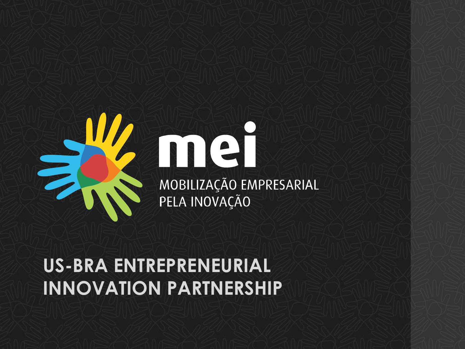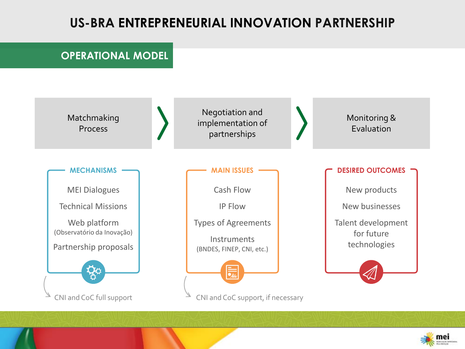## **OPERATIONAL MODEL**



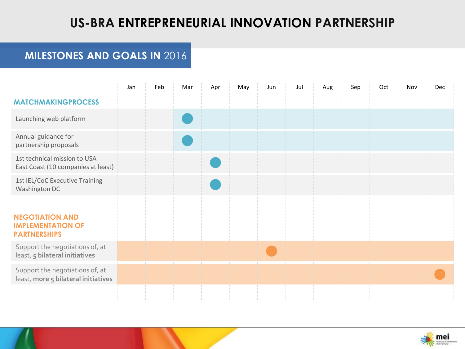## **MILESTONES AND GOALS IN** 2016

|                                                                           | Jan | Feb | Mar | Apr | May | Jun | Jul | Aug | Sep | Oct | Nov | Dec |
|---------------------------------------------------------------------------|-----|-----|-----|-----|-----|-----|-----|-----|-----|-----|-----|-----|
| <b>MATCHMAKINGPROCESS</b>                                                 |     |     |     |     |     |     |     |     |     |     |     |     |
| Launching web platform                                                    |     |     |     |     |     |     |     |     |     |     |     |     |
| Annual guidance for<br>partnership proposals                              |     |     |     |     |     |     |     |     |     |     |     |     |
| 1st technical mission to USA<br>East Coast (10 companies at least)        |     |     |     |     |     |     |     |     |     |     |     |     |
| 1st IEL/CoC Executive Training<br>Washington DC                           |     |     |     |     |     |     |     |     |     |     |     |     |
| <b>NEGOTIATION AND</b><br><b>IMPLEMENTATION OF</b><br><b>PARTNERSHIPS</b> |     |     |     |     |     |     |     |     |     |     |     |     |
| Support the negotiations of, at<br>least, 5 bilateral initiatives         |     |     |     |     |     |     |     |     |     |     |     |     |
| Support the negotiations of, at<br>least, more 5 bilateral initiatives    |     |     |     |     |     |     |     |     |     |     |     |     |
|                                                                           |     |     |     |     |     |     |     |     |     |     |     |     |

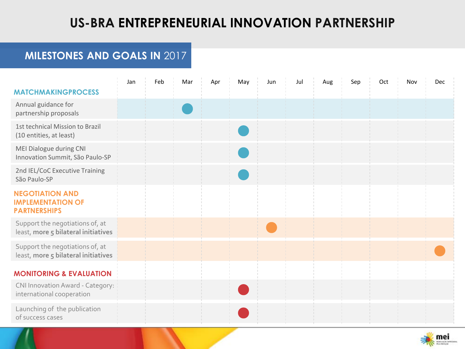## **MILESTONES AND GOALS IN** 2017

|                                                                           | Jan | Feb | Mar | Apr | May | Jun | Jul | Aug | Sep | Oct | Nov | Dec |
|---------------------------------------------------------------------------|-----|-----|-----|-----|-----|-----|-----|-----|-----|-----|-----|-----|
| <b>MATCHMAKINGPROCESS</b>                                                 |     |     |     |     |     |     |     |     |     |     |     |     |
| Annual guidance for<br>partnership proposals                              |     |     |     |     |     |     |     |     |     |     |     |     |
| 1st technical Mission to Brazil<br>(10 entities, at least)                |     |     |     |     |     |     |     |     |     |     |     |     |
| MEI Dialogue during CNI<br>Innovation Summit, São Paulo-SP                |     |     |     |     |     |     |     |     |     |     |     |     |
| 2nd IEL/CoC Executive Training<br>São Paulo-SP                            |     |     |     |     |     |     |     |     |     |     |     |     |
| <b>NEGOTIATION AND</b><br><b>IMPLEMENTATION OF</b><br><b>PARTNERSHIPS</b> |     |     |     |     |     |     |     |     |     |     |     |     |
| Support the negotiations of, at<br>least, more 5 bilateral initiatives    |     |     |     |     |     |     |     |     |     |     |     |     |
| Support the negotiations of, at<br>least, more 5 bilateral initiatives    |     |     |     |     |     |     |     |     |     |     |     |     |
| <b>MONITORING &amp; EVALUATION</b>                                        |     |     |     |     |     |     |     |     |     |     |     |     |
| CNI Innovation Award - Category:<br>international cooperation             |     |     |     |     |     |     |     |     |     |     |     |     |
| Launching of the publication<br>of success cases                          |     |     |     |     |     |     |     |     |     |     |     |     |